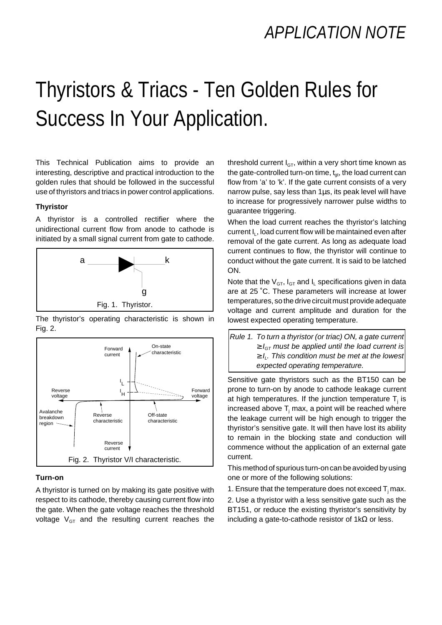## *APPLICATION NOTE*

# Thyristors & Triacs - Ten Golden Rules for Success In Your Application.

This Technical Publication aims to provide an interesting, descriptive and practical introduction to the golden rules that should be followed in the successful use of thyristors and triacs in power control applications.

#### **Thyristor**

A thyristor is a controlled rectifier where the unidirectional current flow from anode to cathode is initiated by a small signal current from gate to cathode.



The thyristor's operating characteristic is shown in Fig. 2.



#### **Turn-on**

A thyristor is turned on by making its gate positive with respect to its cathode, thereby causing current flow into the gate. When the gate voltage reaches the threshold voltage  $V_{GT}$  and the resulting current reaches the threshold current  $I_{GT}$ , within a very short time known as the gate-controlled turn-on time,  $t_{\text{at}}$ , the load current can flow from 'a' to 'k'. If the gate current consists of a very narrow pulse, say less than 1us, its peak level will have to increase for progressively narrower pulse widths to guarantee triggering.

When the load current reaches the thyristor's latching current I<sub>L</sub>, load current flow will be maintained even after removal of the gate current. As long as adequate load current continues to flow, the thyristor will continue to conduct without the gate current. It is said to be latched ON.

Note that the  $V_{GT}$ ,  $I_{GT}$  and  $I_L$  specifications given in data are at 25 ˚C. These parameters will increase at lower temperatures, so the drive circuit must provide adequate voltage and current amplitude and duration for the lowest expected operating temperature.

| Rule 1. To turn a thyristor (or triac) ON, a gate current        |
|------------------------------------------------------------------|
| $\geq l_{GT}$ must be applied until the load current is          |
| $\geq$ I <sub>1</sub> . This condition must be met at the lowest |
| expected operating temperature.                                  |

Sensitive gate thyristors such as the BT150 can be prone to turn-on by anode to cathode leakage current at high temperatures. If the junction temperature  $T_i$  is increased above  $T_i$  max, a point will be reached where the leakage current will be high enough to trigger the thyristor's sensitive gate. It will then have lost its ability to remain in the blocking state and conduction will commence without the application of an external gate current.

This method of spurious turn-on can beavoided by using one or more of the following solutions:

1. Ensure that the temperature does not exceed  $T_i$  max. 2. Use a thyristor with a less sensitive gate such as the BT151, or reduce the existing thyristor's sensitivity by including a gate-to-cathode resistor of 1kΩ or less.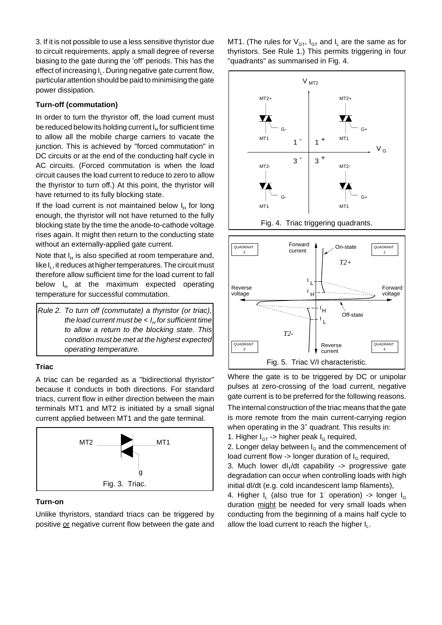3. If it is not possible to use a less sensitive thyristor due to circuit requirements, apply a small degree of reverse biasing to the gate during the 'off' periods. This has the effect of increasing  $I<sub>L</sub>$ . During negative gate current flow, particularattention should be paid to minimising the gate power dissipation.

#### **Turn-off (commutation)**

In order to turn the thyristor off, the load current must be reduced below its holding current  $I_H$  for sufficient time to allow all the mobile charge carriers to vacate the junction. This is achieved by "forced commutation" in DC circuits or at the end of the conducting half cycle in AC circuits. (Forced commutation is when the load circuit causes the load current to reduce to zero to allow the thyristor to turn off.) At this point, the thyristor will have returned to its fully blocking state.

If the load current is not maintained below  $I_H$  for long enough, the thyristor will not have returned to the fully blocking state by the time the anode-to-cathode voltage rises again. It might then return to the conducting state without an externally-applied gate current.

Note that  $I_H$  is also specified at room temperature and, like  $I_L$ , it reduces at higher temperatures. The circuit must therefore allow sufficient time for the load current to fall below  $I_H$  at the maximum expected operating temperature for successful commutation.

Rule 2. To turn off (commutate) a thyristor (or triac), the load current must be  $\lt$   $I_H$  for sufficient time to allow a return to the blocking state. This condition must be met at the highest expected operating temperature.

#### **Triac**

A triac can be regarded as a "bidirectional thyristor" because it conducts in both directions. For standard triacs, current flow in either direction between the main terminals MT1 and MT2 is initiated by a small signal current applied between MT1 and the gate terminal.



#### **Turn-on**

Unlike thyristors, standard triacs can be triggered by positive or negative current flow between the gate and

MT1. (The rules for  $V_{GT}$ ,  $I_{GT}$  and  $I_L$  are the same as for thyristors. See Rule 1.) This permits triggering in four "quadrants" as summarised in Fig. 4.





Where the gate is to be triggered by DC or unipolar pulses at zero-crossing of the load current, negative gate current is to be preferred for the following reasons. The internal construction of the triac means that the gate is more remote from the main current-carrying region when operating in the 3<sup>+</sup> quadrant. This results in:

1. Higher  $I_{GT} \rightarrow$  higher peak  $I_G$  required,

2. Longer delay between  $I_G$  and the commencement of load current flow -> longer duration of  $I_G$  required,

3. Much lower dl<sub> $T$ </sub>/dt capability -> progressive gate degradation can occur when controlling loads with high initial dI/dt (e.g. cold incandescent lamp filaments),

4. Higher I<sub>I</sub> (also true for 1 operation) -> longer  $I_G$ duration might be needed for very small loads when conducting from the beginning of a mains half cycle to allow the load current to reach the higher  $I_L$ .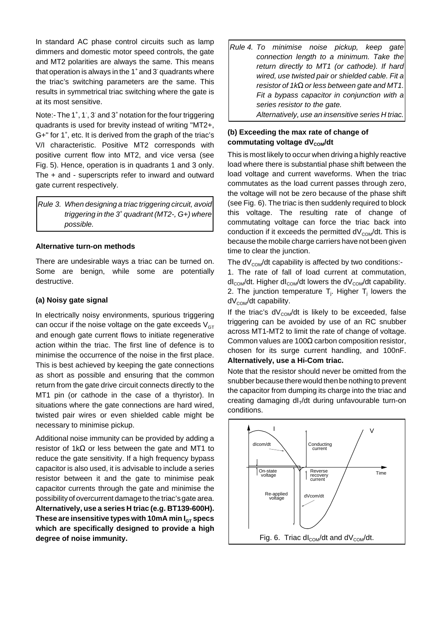In standard AC phase control circuits such as lamp dimmers and domestic motor speed controls, the gate and MT2 polarities are always the same. This means that operation is always in the 1<sup>+</sup> and 3<sup>-</sup> quadrants where the triac's switching parameters are the same. This results in symmetrical triac switching where the gate is at its most sensitive.

Note:- The  $1^+$ ,  $1^-, 3^-$  and  $3^+$  notation for the four triggering quadrants is used for brevity instead of writing "MT2+, G+" for 1<sup>+</sup>, etc. It is derived from the graph of the triac's V/I characteristic. Positive MT2 corresponds with positive current flow into MT2, and vice versa (see Fig. 5). Hence, operation is in quadrants 1 and 3 only. The + and - superscripts refer to inward and outward gate current respectively.

Rule 3. When designing a triac triggering circuit, avoid triggering in the 3<sup>+</sup> quadrant (MT2-, G+) where possible.

#### **Alternative turn-on methods**

There are undesirable ways a triac can be turned on. Some are benign, while some are potentially destructive.

#### **(a) Noisy gate signal**

In electrically noisy environments, spurious triggering can occur if the noise voltage on the gate exceeds  $V_{GT}$ and enough gate current flows to initiate regenerative action within the triac. The first line of defence is to minimise the occurrence of the noise in the first place. This is best achieved by keeping the gate connections as short as possible and ensuring that the common return from the gate drive circuit connects directly to the MT1 pin (or cathode in the case of a thyristor). In situations where the gate connections are hard wired, twisted pair wires or even shielded cable might be necessary to minimise pickup.

Additional noise immunity can be provided by adding a resistor of 1kΩ or less between the gate and MT1 to reduce the gate sensitivity. If a high frequency bypass capacitor is also used, it is advisable to include a series resistor between it and the gate to minimise peak capacitor currents through the gate and minimise the possibilityof overcurrent damageto the triac'sgate area. **Alternatively, use a series H triac (e.g. BT139-600H). These are insensitive types with 10mA min**  $I_{GT}$  **specs which are specifically designed to provide a high degree of noise immunity.**

Rule 4. To minimise noise pickup, keep gate connection length to a minimum. Take the return directly to MT1 (or cathode). If hard wired, use twisted pair or shielded cable. Fit a resistor of 1kΩ or less between gate and MT1. Fit a bypass capacitor in conjunction with a series resistor to the gate. Alternatively, use an insensitive series H triac.

**(b) Exceeding the max rate of change of** commutating voltage dV<sub>com</sub>/dt

This is most likely to occur when driving a highly reactive load where there is substantial phase shift between the load voltage and current waveforms. When the triac commutates as the load current passes through zero, the voltage will not be zero because of the phase shift (see Fig. 6). The triac is then suddenly required to block this voltage. The resulting rate of change of commutating voltage can force the triac back into conduction if it exceeds the permitted  $dV_{COM}/dt$ . This is because the mobile charge carriers have not been given time to clear the junction.

The  $dV<sub>COM</sub>/dt$  capability is affected by two conditions:-

1. The rate of fall of load current at commutation,  $dl_{COM}/dt$ . Higher dl<sub>com</sub>/dt lowers the dV<sub>com</sub>/dt capability. 2. The junction temperature  $T_{j}$ . Higher  $T_{j}$  lowers the  $dV<sub>COM</sub>/dt$  capability.

If the triac's  $dV_{COM}/dt$  is likely to be exceeded, false triggering can be avoided by use of an RC snubber across MT1-MT2 to limit the rate of change of voltage. Common values are 100Ω carbon composition resistor, chosen for its surge current handling, and 100nF. **Alternatively, use a Hi-Com triac.**

Note that the resistor should never be omitted from the snubber because there would then be nothing to prevent the capacitor from dumping its charge into the triac and creating damaging  $dl$ <sub>T</sub>/dt during unfavourable turn-on conditions.

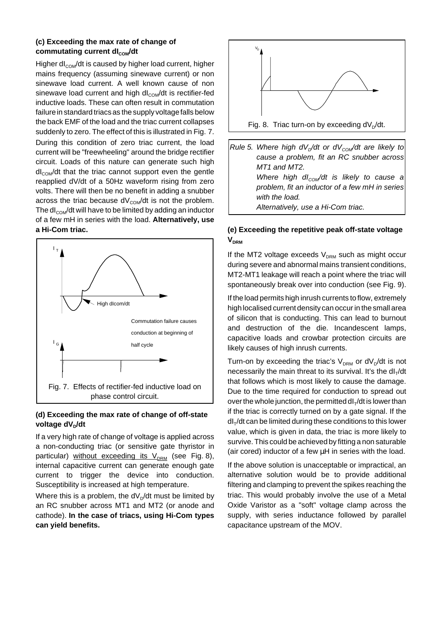#### **(c) Exceeding the max rate of change of** commutating current dl<sub>com</sub>/dt

Higher d $I_{COM}/dt$  is caused by higher load current, higher mains frequency (assuming sinewave current) or non sinewave load current. A well known cause of non sinewave load current and high  $dl_{COM}/dt$  is rectifier-fed inductive loads. These can often result in commutation failure in standard triacs as the supply voltage falls below the back EMF of the load and the triac current collapses suddenly to zero. The effect of this is illustrated in Fig. 7. During this condition of zero triac current, the load current will be "freewheeling" around the bridge rectifier circuit. Loads of this nature can generate such high  $dl<sub>COM</sub>/dt$  that the triac cannot support even the gentle reapplied dV/dt of a 50Hz waveform rising from zero volts. There will then be no benefit in adding a snubber across the triac because  $dV_{COM}/dt$  is not the problem. The d $I_{\text{COM}}$  dt will have to be limited by adding an inductor of a few mH in series with the load. **Alternatively, use a Hi-Com triac.**



#### **(d) Exceeding the max rate of change of off-state** voltage dV<sub>D</sub>/dt

If a very high rate of change of voltage is applied across a non-conducting triac (or sensitive gate thyristor in particular) without exceeding its  $V_{DRM}$  (see Fig. 8), internal capacitive current can generate enough gate current to trigger the device into conduction. Susceptibility is increased at high temperature.

Where this is a problem, the  $dV<sub>D</sub>/dt$  must be limited by an RC snubber across MT1 and MT2 (or anode and cathode). **In the case of triacs, using Hi-Com types can yield benefits.**



| Rule 5. Where high dV <sub>D</sub> /dt or dV <sub>coM</sub> /dt are likely to |
|-------------------------------------------------------------------------------|
| cause a problem, fit an RC snubber across                                     |
| MT1 and MT2.                                                                  |
| Where high $dl_{\text{COM}}/dt$ is likely to cause a                          |
| problem, fit an inductor of a few mH in series                                |
| with the load.                                                                |
| Alternatively, use a Hi-Com triac.                                            |

#### **(e) Exceeding the repetitive peak off-state voltage V**<sub>DRM</sub>

If the MT2 voltage exceeds  $V_{DRM}$  such as might occur during severe and abnormal mains transient conditions, MT2-MT1 leakage will reach a point where the triac will spontaneously break over into conduction (see Fig. 9).

If the load permits high inrush currents to flow, extremely high localised current density can occur in the small area of silicon that is conducting. This can lead to burnout and destruction of the die. Incandescent lamps, capacitive loads and crowbar protection circuits are likely causes of high inrush currents.

Turn-on by exceeding the triac's  $V_{DRM}$  or d $V_{D}/dt$  is not necessarily the main threat to its survival. It's the  $dl$ <sub>T</sub>/dt that follows which is most likely to cause the damage. Due to the time required for conduction to spread out over the whole junction, the permitted  $dl<sub>T</sub>/dt$  is lower than if the triac is correctly turned on by a gate signal. If the  $dl<sub>T</sub>/dt$  can be limited during these conditions to this lower value, which is given in data, the triac is more likely to survive. This could be achieved by fitting a non saturable (air cored) inductor of a few µH in series with the load.

If the above solution is unacceptable or impractical, an alternative solution would be to provide additional filtering and clamping to prevent the spikes reaching the triac. This would probably involve the use of a Metal Oxide Varistor as a "soft" voltage clamp across the supply, with series inductance followed by parallel capacitance upstream of the MOV.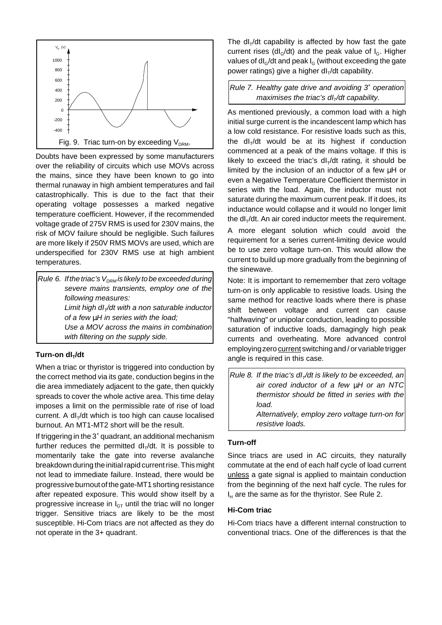

Doubts have been expressed by some manufacturers over the reliability of circuits which use MOVs across the mains, since they have been known to go into thermal runaway in high ambient temperatures and fail catastrophically. This is due to the fact that their operating voltage possesses a marked negative temperature coefficient. However, if the recommended voltage grade of 275V RMS is used for 230V mains, the risk of MOV failure should be negligible. Such failures are more likely if 250V RMS MOVs are used, which are underspecified for 230V RMS use at high ambient temperatures.

Rule 6. If the triac's  $V_{DRM}$  is likely to be exceeded during severe mains transients, employ one of the following measures: Limit high dI $\frac{1}{2}$ dt with a non saturable inductor of a few  $\mu$ H in series with the load; Use a MOV across the mains in combination with filtering on the supply side.

#### **Turn-on dl-/dt**

When a triac or thyristor is triggered into conduction by the correct method via its gate, conduction begins in the die area immediately adjacent to the gate, then quickly spreads to cover the whole active area. This time delay imposes a limit on the permissible rate of rise of load current. A dI $<sub>T</sub>/dt$  which is too high can cause localised</sub> burnout. An MT1-MT2 short will be the result.

If triggering in the 3<sup>+</sup> quadrant, an additional mechanism further reduces the permitted  $dI<sub>T</sub>/dt$ . It is possible to momentarily take the gate into reverse avalanche breakdownduring the initial rapid currentrise. This might not lead to immediate failure. Instead, there would be progressive burnout of the gate-MT1 shorting resistance after repeated exposure. This would show itself by a progressive increase in  $I_{GT}$  until the triac will no longer trigger. Sensitive triacs are likely to be the most susceptible. Hi-Com triacs are not affected as they do not operate in the 3+ quadrant.

The  $dl<sub>T</sub>/dt$  capability is affected by how fast the gate current rises (dl<sub>G</sub>/dt) and the peak value of  $I_G$ . Higher values of dl $_{\odot}$ /dt and peak  $I_{\odot}$  (without exceeding the gate power ratings) give a higher  $dl<sub>T</sub>/dt$  capability.

#### Rule 7. Healthy gate drive and avoiding 3+ operation maximises the triac's  $dl<sub>T</sub>/dt$  capability.

As mentioned previously, a common load with a high initial surge current is the incandescent lamp which has a low cold resistance. For resistive loads such as this, the dI $_T$ /dt would be at its highest if conduction commenced at a peak of the mains voltage. If this is likely to exceed the triac's  $dl<sub>T</sub>/dt$  rating, it should be limited by the inclusion of an inductor of a few µH or even a Negative Temperature Coefficient thermistor in series with the load. Again, the inductor must not saturate during the maximum current peak. If it does, its inductance would collapse and it would no longer limit the dI $<sub>T</sub>/dt$ . An air cored inductor meets the requirement.</sub>

A more elegant solution which could avoid the requirement for a series current-limiting device would be to use zero voltage turn-on. This would allow the current to build up more gradually from the beginning of the sinewave.

Note: It is important to rememember that zero voltage turn-on is only applicable to resistive loads. Using the same method for reactive loads where there is phase shift between voltage and current can cause "halfwaving" or unipolar conduction, leading to possible saturation of inductive loads, damagingly high peak currents and overheating. More advanced control employing zero current switching and / or variable trigger angle is required in this case.

Rule 8. If the triac's dl<sub>r</sub>/dt is likely to be exceeded, an air cored inductor of a few uH or an NTC thermistor should be fitted in series with the load. Alternatively, employ zero voltage turn-on for resistive loads.

#### **Turn-off**

Since triacs are used in AC circuits, they naturally commutate at the end of each half cycle of load current unless a gate signal is applied to maintain conduction from the beginning of the next half cycle. The rules for  $I_H$  are the same as for the thyristor. See Rule 2.

#### **Hi-Com triac**

Hi-Com triacs have a different internal construction to conventional triacs. One of the differences is that the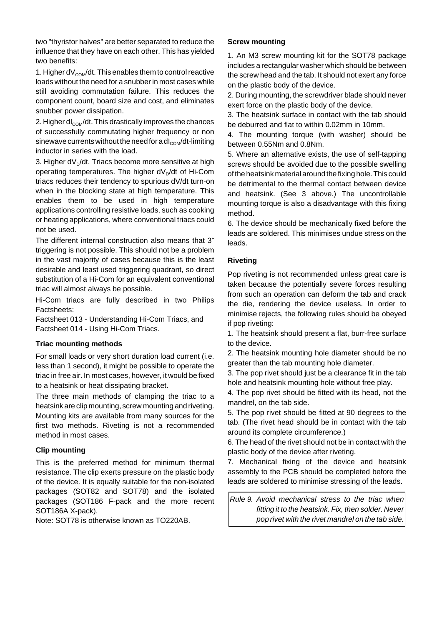two "thyristor halves" are better separated to reduce the influence that they have on each other. This has yielded two benefits:

1. Higher dV $_{\text{COM}}$ /dt. This enables them to control reactive loads without the need for a snubber in most cases while still avoiding commutation failure. This reduces the component count, board size and cost, and eliminates snubber power dissipation.

2. Higher dl $_{\rm COM}/$ dt. This drastically improves the chances of successfully commutating higher frequency or non sinewave currents without the need for a dl $_{\text{COM}}$ /dt-limiting inductor in series with the load.

3. Higher  $dV<sub>D</sub>/dt$ . Triacs become more sensitive at high operating temperatures. The higher  $dV<sub>D</sub>/dt$  of Hi-Com triacs reduces their tendency to spurious dV/dt turn-on when in the blocking state at high temperature. This enables them to be used in high temperature applications controlling resistive loads, such as cooking or heating applications, where conventional triacs could not be used.

The different internal construction also means that 3<sup>+</sup> triggering is not possible. This should not be a problem in the vast majority of cases because this is the least desirable and least used triggering quadrant, so direct substitution of a Hi-Com for an equivalent conventional triac will almost always be possible.

Hi-Com triacs are fully described in two Philips Factsheets:

Factsheet 013 - Understanding Hi-Com Triacs, and Factsheet 014 - Using Hi-Com Triacs.

#### **Triac mounting methods**

For small loads or very short duration load current (i.e. less than 1 second), it might be possible to operate the triac in free air. In most cases, however, it would be fixed to a heatsink or heat dissipating bracket.

The three main methods of clamping the triac to a heatsink are clip mounting, screw mounting and riveting. Mounting kits are available from many sources for the first two methods. Riveting is not a recommended method in most cases.

#### **Clip mounting**

This is the preferred method for minimum thermal resistance. The clip exerts pressure on the plastic body of the device. It is equally suitable for the non-isolated packages (SOT82 and SOT78) and the isolated packages (SOT186 F-pack and the more recent SOT186A X-pack).

Note: SOT78 is otherwise known as TO220AB.

#### **Screw mounting**

1. An M3 screw mounting kit for the SOT78 package includes a rectangular washer which should be between the screw head and the tab. It should not exert any force on the plastic body of the device.

2. During mounting, the screwdriver blade should never exert force on the plastic body of the device.

3. The heatsink surface in contact with the tab should be deburred and flat to within 0.02mm in 10mm.

4. The mounting torque (with washer) should be between 0.55Nm and 0.8Nm.

5. Where an alternative exists, the use of self-tapping screws should be avoided due to the possible swelling ofthe heatsink material aroundthe fixinghole.This could be detrimental to the thermal contact between device and heatsink. (See 3 above.) The uncontrollable mounting torque is also a disadvantage with this fixing method.

6. The device should be mechanically fixed before the leads are soldered. This minimises undue stress on the leads.

#### **Riveting**

Pop riveting is not recommended unless great care is taken because the potentially severe forces resulting from such an operation can deform the tab and crack the die, rendering the device useless. In order to minimise rejects, the following rules should be obeyed if pop riveting:

1. The heatsink should present a flat, burr-free surface to the device.

2. The heatsink mounting hole diameter should be no greater than the tab mounting hole diameter.

3. The pop rivet should just be a clearance fit in the tab hole and heatsink mounting hole without free play.

4. The pop rivet should be fitted with its head, not the mandrel, on the tab side.

5. The pop rivet should be fitted at 90 degrees to the tab. (The rivet head should be in contact with the tab around its complete circumference.)

6. The head of the rivet should not be in contact with the plastic body of the device after riveting.

7. Mechanical fixing of the device and heatsink assembly to the PCB should be completed before the leads are soldered to minimise stressing of the leads.

Rule 9. Avoid mechanical stress to the triac when fitting it to the heatsink. Fix, then solder. Never pop rivet with the rivet mandrel on the tab side.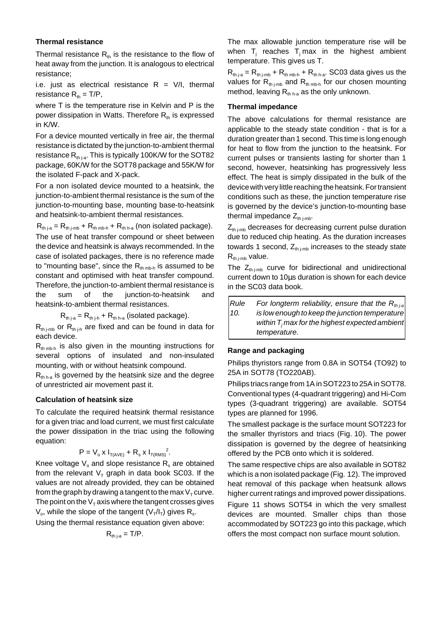#### **Thermal resistance**

Thermal resistance  $R_{th}$  is the resistance to the flow of heat away from the junction. It is analogous to electrical resistance;

i.e. just as electrical resistance  $R = V/I$ , thermal resistance  $R_{th} = T/P$ ,

where T is the temperature rise in Kelvin and P is the power dissipation in Watts. Therefore  $R_{th}$  is expressed in K/W.

For a device mounted vertically in free air, the thermal resistance is dictated by the junction-to-ambient thermal resistance  $R_{th}$ <sub>i-a</sub>. This is typically 100K/W for the SOT82 package, 60K/W for the SOT78 package and 55K/W for the isolated F-pack and X-pack.

For a non isolated device mounted to a heatsink, the junction-to-ambient thermal resistance is the sum of the junction-to-mounting base, mounting base-to-heatsink and heatsink-to-ambient thermal resistances.

 $R_{th\, i-a} = R_{th\, i-mb} + R_{th\, mb-h} + R_{th\, h-a}$  (non isolated package). The use of heat transfer compound or sheet between the device and heatsink is always recommended. In the case of isolated packages, there is no reference made to "mounting base", since the  $R_{th mb-h}$  is assumed to be constant and optimised with heat transfer compound. Therefore, the junction-to-ambient thermal resistance is the sum of the junction-to-heatsink and heatsink-to-ambient thermal resistances.

 $R_{th\,ja} = R_{th\,j\text{-}h} + R_{th\,h\text{-}a}$  (isolated package).

 $R_{th;mb}$  or  $R_{th;hb}$  are fixed and can be found in data for each device.

 $R_{th mb-h}$  is also given in the mounting instructions for several options of insulated and non-insulated mounting, with or without heatsink compound.

 $R_{th\, h-a}$  is governed by the heatsink size and the degree of unrestricted air movement past it.

#### **Calculation of heatsink size**

To calculate the required heatsink thermal resistance for a given triac and load current, we must first calculate the power dissipation in the triac using the following equation:

$$
P = V_o \times I_{T(AVE)} + R_s \times I_{T(RMS)}^2
$$
.

Knee voltage  $V_0$  and slope resistance  $R_s$  are obtained from the relevant  $V_T$  graph in data book SC03. If the values are not already provided, they can be obtained from the graph by drawing a tangent to the max  $V<sub>T</sub>$  curve. The point on the  $V<sub>T</sub>$  axis where the tangent crosses gives  $V_o$ , while the slope of the tangent  $(V_T/I_T)$  gives  $R_s$ .

Using the thermal resistance equation given above:

$$
R_{th\,j\text{-}a} = T/P.
$$

The max allowable junction temperature rise will be when  $T_j$  reaches  $T_j$ max in the highest ambient temperature. This gives us T.

 $R_{th\,ja} = R_{th\,j\text{-mb}} + R_{th\,mb\cdot\text{-h}} + R_{th\,h\text{-a}}$ . SC03 data gives us the values for  $R_{th j-mb}$  and  $R_{th mb-h}$  for our chosen mounting method, leaving  $R_{th h-a}$  as the only unknown.

#### **Thermal impedance**

The above calculations for thermal resistance are applicable to the steady state condition - that is for a duration greater than 1 second. This time is long enough for heat to flow from the junction to the heatsink. For current pulses or transients lasting for shorter than 1 second, however, heatsinking has progressively less effect. The heat is simply dissipated in the bulk of the devicewith very little reaching the heatsink.For transient conditions such as these, the junction temperature rise is governed by the device's junction-to-mounting base thermal impedance  $Z_{th\ i-mb}$ .

 $Z_{\text{th}}$  i-mb decreases for decreasing current pulse duration due to reduced chip heating. As the duration increases towards 1 second,  $Z_{\text{th}+m}$  increases to the steady state  $R_{th\ i\text{-mb}}$  value.

The  $Z_{th+mb}$  curve for bidirectional and unidirectional current down to 10µs duration is shown for each device in the SC03 data book.

| Rule | For longterm reliability, ensure that the $R_{th}$ <sub>ia</sub> |
|------|------------------------------------------------------------------|
| 10.  | is low enough to keep the junction temperature                   |
|      | within $T_i$ max for the highest expected ambient                |
|      | temperature.                                                     |

#### **Range and packaging**

Philips thyristors range from 0.8A in SOT54 (TO92) to 25A in SOT78 (TO220AB).

Philips triacs range from 1A in SOT223 to 25A in SOT78. Conventional types (4-quadrant triggering) and Hi-Com types (3-quadrant triggering) are available. SOT54 types are planned for 1996.

The smallest package is the surface mount SOT223 for the smaller thyristors and triacs (Fig. 10). The power dissipation is governed by the degree of heatsinking offered by the PCB onto which it is soldered.

The same respective chips are also available in SOT82 which is a non isolated package (Fig. 12). The improved heat removal of this package when heatsunk allows higher current ratings and improved power dissipations. Figure 11 shows SOT54 in which the very smallest devices are mounted. Smaller chips than those accommodated by SOT223 go into this package, which offers the most compact non surface mount solution.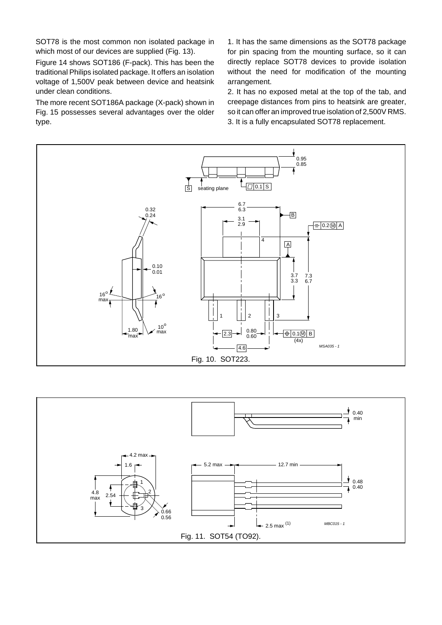SOT78 is the most common non isolated package in which most of our devices are supplied (Fig. 13).

Figure 14 shows SOT186 (F-pack). This has been the traditional Philips isolated package. It offers an isolation voltage of 1,500V peak between device and heatsink under clean conditions.

The more recent SOT186A package (X-pack) shown in Fig. 15 possesses several advantages over the older type.

1. It has the same dimensions as the SOT78 package for pin spacing from the mounting surface, so it can directly replace SOT78 devices to provide isolation without the need for modification of the mounting arrangement.

2. It has no exposed metal at the top of the tab, and creepage distances from pins to heatsink are greater, so it can offer an improved true isolation of 2,500V RMS. 3. It is a fully encapsulated SOT78 replacement.



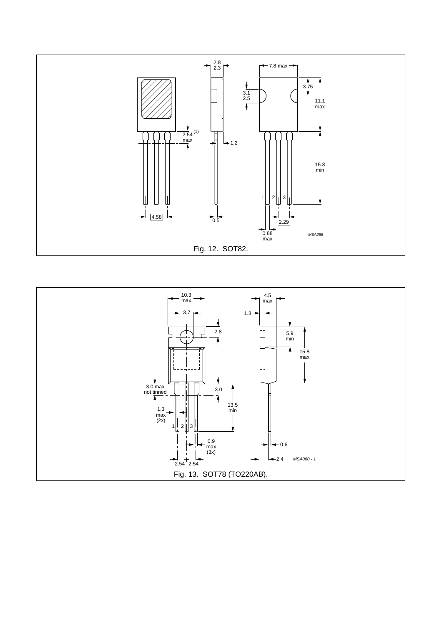

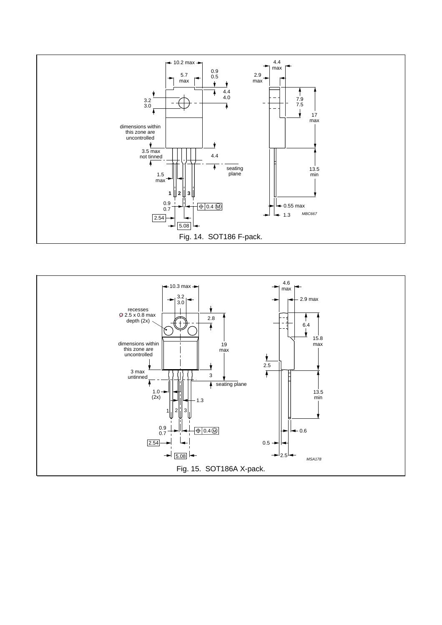